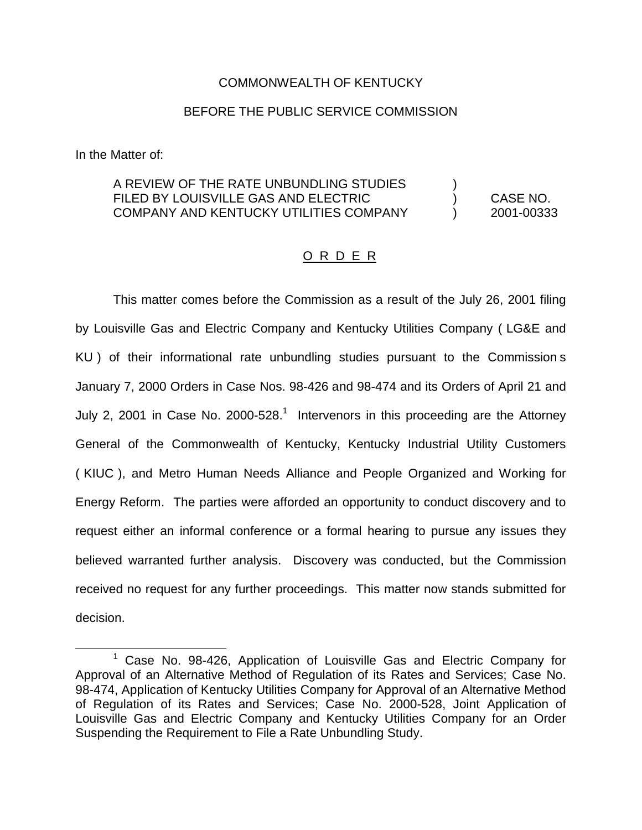## COMMONWEALTH OF KENTUCKY

# BEFORE THE PUBLIC SERVICE COMMISSION

In the Matter of:

# A REVIEW OF THE RATE UNBUNDLING STUDIES FILED BY LOUISVILLE GAS AND ELECTRIC ) CASE NO. COMPANY AND KENTUCKY UTILITIES COMPANY ) 2001-00333

## O R D E R

This matter comes before the Commission as a result of the July 26, 2001 filing by Louisville Gas and Electric Company and Kentucky Utilities Company ( LG&E and KU ) of their informational rate unbundling studies pursuant to the Commission s January 7, 2000 Orders in Case Nos. 98-426 and 98-474 and its Orders of April 21 and July 2, 2001 in Case No. 2000-528.<sup>1</sup> Intervenors in this proceeding are the Attorney General of the Commonwealth of Kentucky, Kentucky Industrial Utility Customers ( KIUC ), and Metro Human Needs Alliance and People Organized and Working for Energy Reform. The parties were afforded an opportunity to conduct discovery and to request either an informal conference or a formal hearing to pursue any issues they believed warranted further analysis. Discovery was conducted, but the Commission received no request for any further proceedings. This matter now stands submitted for decision.

<sup>&</sup>lt;sup>1</sup> Case No. 98-426, Application of Louisville Gas and Electric Company for Approval of an Alternative Method of Regulation of its Rates and Services; Case No. 98-474, Application of Kentucky Utilities Company for Approval of an Alternative Method of Regulation of its Rates and Services; Case No. 2000-528, Joint Application of Louisville Gas and Electric Company and Kentucky Utilities Company for an Order Suspending the Requirement to File a Rate Unbundling Study.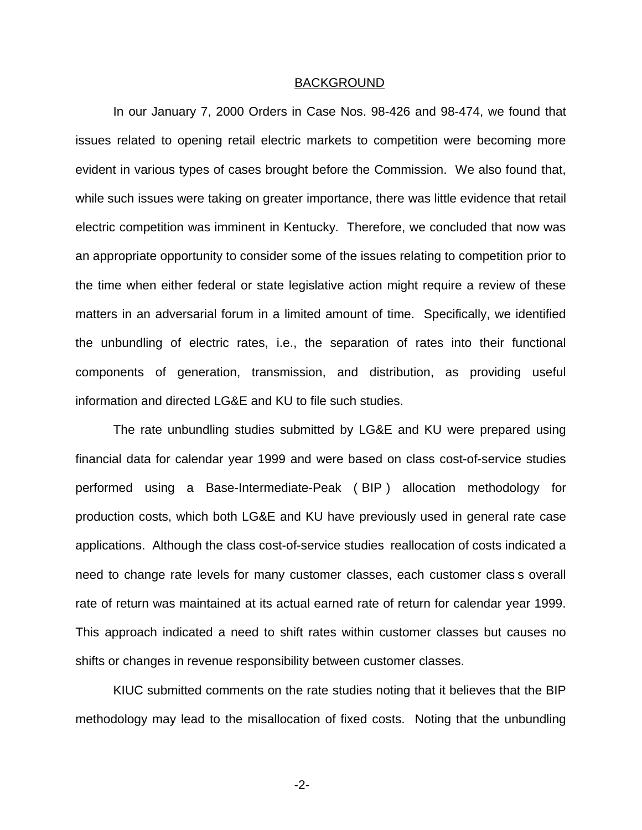#### BACKGROUND

In our January 7, 2000 Orders in Case Nos. 98-426 and 98-474, we found that issues related to opening retail electric markets to competition were becoming more evident in various types of cases brought before the Commission. We also found that, while such issues were taking on greater importance, there was little evidence that retail electric competition was imminent in Kentucky. Therefore, we concluded that now was an appropriate opportunity to consider some of the issues relating to competition prior to the time when either federal or state legislative action might require a review of these matters in an adversarial forum in a limited amount of time. Specifically, we identified the unbundling of electric rates, i.e., the separation of rates into their functional components of generation, transmission, and distribution, as providing useful information and directed LG&E and KU to file such studies.

The rate unbundling studies submitted by LG&E and KU were prepared using financial data for calendar year 1999 and were based on class cost-of-service studies performed using a Base-Intermediate-Peak ( BIP ) allocation methodology for production costs, which both LG&E and KU have previously used in general rate case applications. Although the class cost-of-service studies reallocation of costs indicated a need to change rate levels for many customer classes, each customer class s overall rate of return was maintained at its actual earned rate of return for calendar year 1999. This approach indicated a need to shift rates within customer classes but causes no shifts or changes in revenue responsibility between customer classes.

KIUC submitted comments on the rate studies noting that it believes that the BIP methodology may lead to the misallocation of fixed costs. Noting that the unbundling

-2-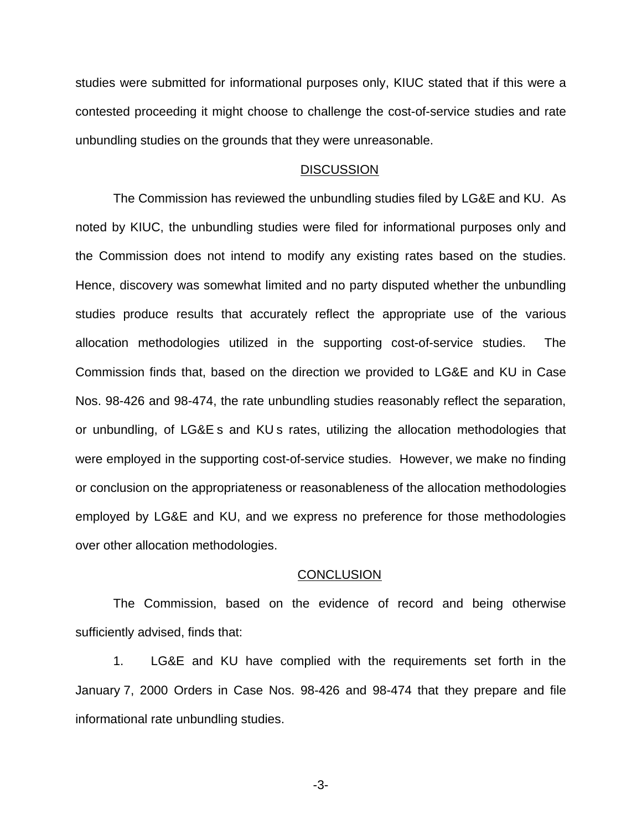studies were submitted for informational purposes only, KIUC stated that if this were a contested proceeding it might choose to challenge the cost-of-service studies and rate unbundling studies on the grounds that they were unreasonable.

### **DISCUSSION**

The Commission has reviewed the unbundling studies filed by LG&E and KU. As noted by KIUC, the unbundling studies were filed for informational purposes only and the Commission does not intend to modify any existing rates based on the studies. Hence, discovery was somewhat limited and no party disputed whether the unbundling studies produce results that accurately reflect the appropriate use of the various allocation methodologies utilized in the supporting cost-of-service studies. The Commission finds that, based on the direction we provided to LG&E and KU in Case Nos. 98-426 and 98-474, the rate unbundling studies reasonably reflect the separation, or unbundling, of LG&E s and KU s rates, utilizing the allocation methodologies that were employed in the supporting cost-of-service studies. However, we make no finding or conclusion on the appropriateness or reasonableness of the allocation methodologies employed by LG&E and KU, and we express no preference for those methodologies over other allocation methodologies.

#### **CONCLUSION**

The Commission, based on the evidence of record and being otherwise sufficiently advised, finds that:

1. LG&E and KU have complied with the requirements set forth in the January 7, 2000 Orders in Case Nos. 98-426 and 98-474 that they prepare and file informational rate unbundling studies.

-3-